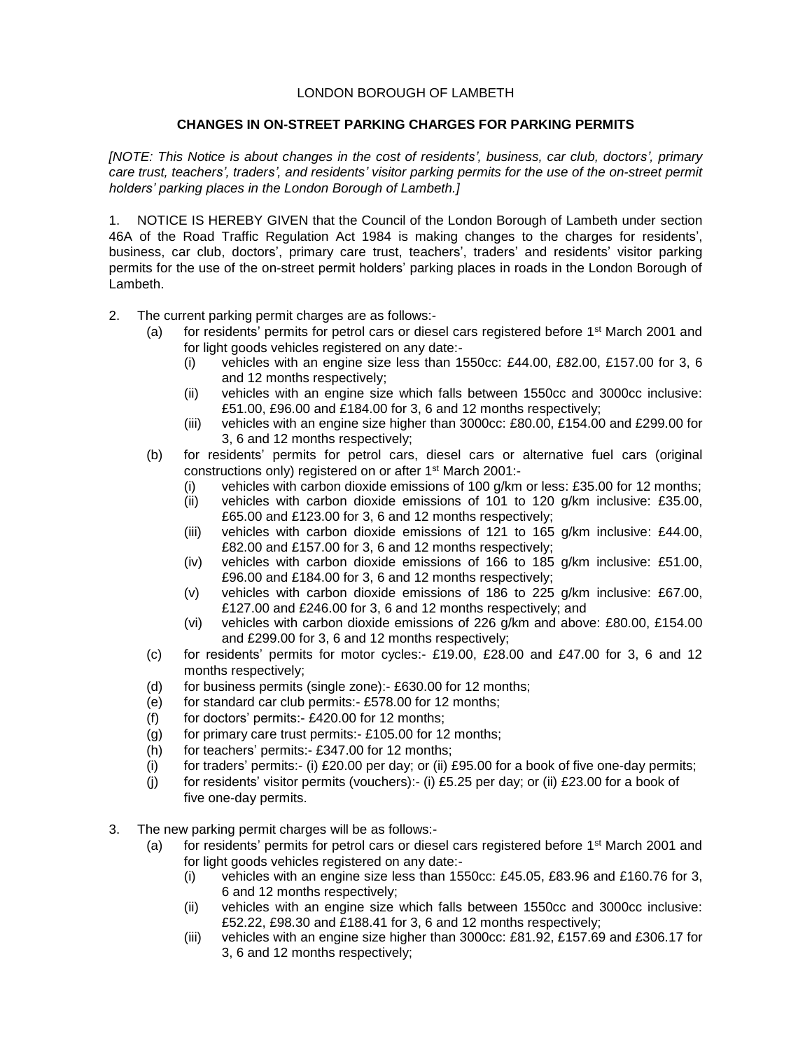## LONDON BOROUGH OF LAMBETH

## **CHANGES IN ON-STREET PARKING CHARGES FOR PARKING PERMITS**

*[NOTE: This Notice is about changes in the cost of residents', business, car club, doctors', primary care trust, teachers', traders', and residents' visitor parking permits for the use of the on-street permit holders' parking places in the London Borough of Lambeth.]*

1. NOTICE IS HEREBY GIVEN that the Council of the London Borough of Lambeth under section 46A of the Road Traffic Regulation Act 1984 is making changes to the charges for residents', business, car club, doctors', primary care trust, teachers', traders' and residents' visitor parking permits for the use of the on-street permit holders' parking places in roads in the London Borough of Lambeth.

- 2. The current parking permit charges are as follows:-
	- (a) for residents' permits for petrol cars or diesel cars registered before 1<sup>st</sup> March 2001 and for light goods vehicles registered on any date:-
		- (i) vehicles with an engine size less than 1550cc: £44.00, £82.00, £157.00 for 3, 6 and 12 months respectively;
		- (ii) vehicles with an engine size which falls between 1550cc and 3000cc inclusive: £51.00, £96.00 and £184.00 for 3, 6 and 12 months respectively;
		- (iii) vehicles with an engine size higher than 3000cc: £80.00, £154.00 and £299.00 for 3, 6 and 12 months respectively;
	- (b) for residents' permits for petrol cars, diesel cars or alternative fuel cars (original constructions only) registered on or after 1st March 2001:-
		- (i) vehicles with carbon dioxide emissions of 100 g/km or less: £35.00 for 12 months;
		- (ii) vehicles with carbon dioxide emissions of 101 to 120 g/km inclusive: £35.00, £65.00 and £123.00 for 3, 6 and 12 months respectively;
		- (iii) vehicles with carbon dioxide emissions of 121 to 165 g/km inclusive: £44.00, £82.00 and £157.00 for 3, 6 and 12 months respectively;
		- (iv) vehicles with carbon dioxide emissions of 166 to 185 g/km inclusive: £51.00, £96.00 and £184.00 for 3, 6 and 12 months respectively;
		- (v) vehicles with carbon dioxide emissions of 186 to 225 g/km inclusive: £67.00, £127.00 and £246.00 for 3, 6 and 12 months respectively; and
		- (vi) vehicles with carbon dioxide emissions of 226 g/km and above: £80.00, £154.00 and £299.00 for 3, 6 and 12 months respectively;
	- (c) for residents' permits for motor cycles:- £19.00, £28.00 and £47.00 for 3, 6 and 12 months respectively;
	- (d) for business permits (single zone):- £630.00 for 12 months;
	- (e) for standard car club permits:- £578.00 for 12 months;
	- (f) for doctors' permits:- $£420.00$  for 12 months;
	- (g) for primary care trust permits:-  $£105.00$  for 12 months;
	- (h) for teachers' permits:- £347.00 for 12 months;
	- (i) for traders' permits:- (i)  $£20.00$  per day; or (ii)  $£95.00$  for a book of five one-day permits;
	- (i) for residents' visitor permits (vouchers):- (i) £5.25 per day; or (ii) £23.00 for a book of five one-day permits.
- 3. The new parking permit charges will be as follows:-
	- (a) for residents' permits for petrol cars or diesel cars registered before  $1<sup>st</sup>$  March 2001 and for light goods vehicles registered on any date:-
		- (i) vehicles with an engine size less than  $1550cc$ : £45.05, £83.96 and £160.76 for 3, 6 and 12 months respectively;
		- (ii) vehicles with an engine size which falls between 1550cc and 3000cc inclusive: £52.22, £98.30 and £188.41 for 3, 6 and 12 months respectively;
		- (iii) vehicles with an engine size higher than 3000cc: £81.92, £157.69 and £306.17 for 3, 6 and 12 months respectively;